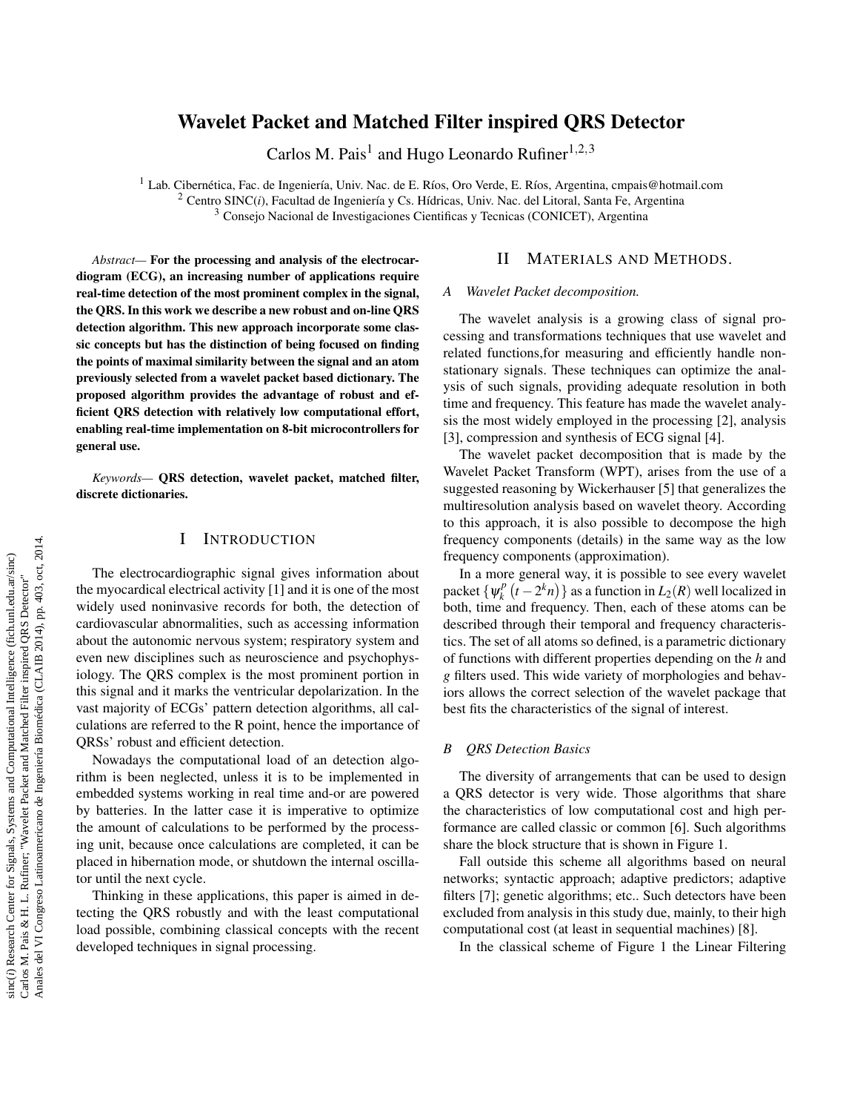# Wavelet Packet and Matched Filter inspired QRS Detector

Carlos M. Pais<sup>1</sup> and Hugo Leonardo Rufiner<sup>1,2,3</sup>

<sup>1</sup> Lab. Cibernética, Fac. de Ingeniería, Univ. Nac. de E. Ríos, Oro Verde, E. Ríos, Argentina, cmpais@hotmail.com <sup>2</sup> Centro SINC(*i*), Facultad de Ingeniería y Cs. Hídricas, Univ. Nac. del Litoral, Santa Fe, Argentina <sup>3</sup> Consejo Nacional de Investigaciones Cientificas y Tecnicas (CONICET), Argentina

*Abstract—* For the processing and analysis of the electrocardiogram (ECG), an increasing number of applications require real-time detection of the most prominent complex in the signal, the QRS. In this work we describe a new robust and on-line QRS detection algorithm. This new approach incorporate some classic concepts but has the distinction of being focused on finding the points of maximal similarity between the signal and an atom previously selected from a wavelet packet based dictionary. The proposed algorithm provides the advantage of robust and efficient QRS detection with relatively low computational effort, enabling real-time implementation on 8-bit microcontrollers for general use.

*Keywords—* QRS detection, wavelet packet, matched filter, discrete dictionaries.

# I INTRODUCTION

The electrocardiographic signal gives information about the myocardical electrical activity [1] and it is one of the most widely used noninvasive records for both, the detection of cardiovascular abnormalities, such as accessing information about the autonomic nervous system; respiratory system and even new disciplines such as neuroscience and psychophysiology. The QRS complex is the most prominent portion in this signal and it marks the ventricular depolarization. In the vast majority of ECGs' pattern detection algorithms, all calculations are referred to the R point, hence the importance of QRSs' robust and efficient detection.

Nowadays the computational load of an detection algorithm is been neglected, unless it is to be implemented in embedded systems working in real time and-or are powered by batteries. In the latter case it is imperative to optimize the amount of calculations to be performed by the processing unit, because once calculations are completed, it can be placed in hibernation mode, or shutdown the internal oscillator until the next cycle.

Thinking in these applications, this paper is aimed in detecting the QRS robustly and with the least computational load possible, combining classical concepts with the recent developed techniques in signal processing.

## II MATERIALS AND METHODS.

#### *A Wavelet Packet decomposition.*

The wavelet analysis is a growing class of signal processing and transformations techniques that use wavelet and related functions,for measuring and efficiently handle nonstationary signals. These techniques can optimize the analysis of such signals, providing adequate resolution in both time and frequency. This feature has made the wavelet analysis the most widely employed in the processing [2], analysis [3], compression and synthesis of ECG signal [4].

The wavelet packet decomposition that is made by the Wavelet Packet Transform (WPT), arises from the use of a suggested reasoning by Wickerhauser [5] that generalizes the multiresolution analysis based on wavelet theory. According to this approach, it is also possible to decompose the high frequency components (details) in the same way as the low frequency components (approximation).

In a more general way, it is possible to see every wavelet packet  $\{\psi_k^p\}$  $L_{k}^{p}\left(t-2^{k}n\right)\}$  as a function in  $L_{2}(R)$  well localized in both, time and frequency. Then, each of these atoms can be described through their temporal and frequency characteristics. The set of all atoms so defined, is a parametric dictionary of functions with different properties depending on the *h* and *g* filters used. This wide variety of morphologies and behaviors allows the correct selection of the wavelet package that best fits the characteristics of the signal of interest.

### *B QRS Detection Basics*

The diversity of arrangements that can be used to design a QRS detector is very wide. Those algorithms that share the characteristics of low computational cost and high performance are called classic or common [6]. Such algorithms share the block structure that is shown in Figure 1.

Fall outside this scheme all algorithms based on neural networks; syntactic approach; adaptive predictors; adaptive filters [7]; genetic algorithms; etc.. Such detectors have been excluded from analysis in this study due, mainly, to their high computational cost (at least in sequential machines) [8].

In the classical scheme of Figure 1 the Linear Filtering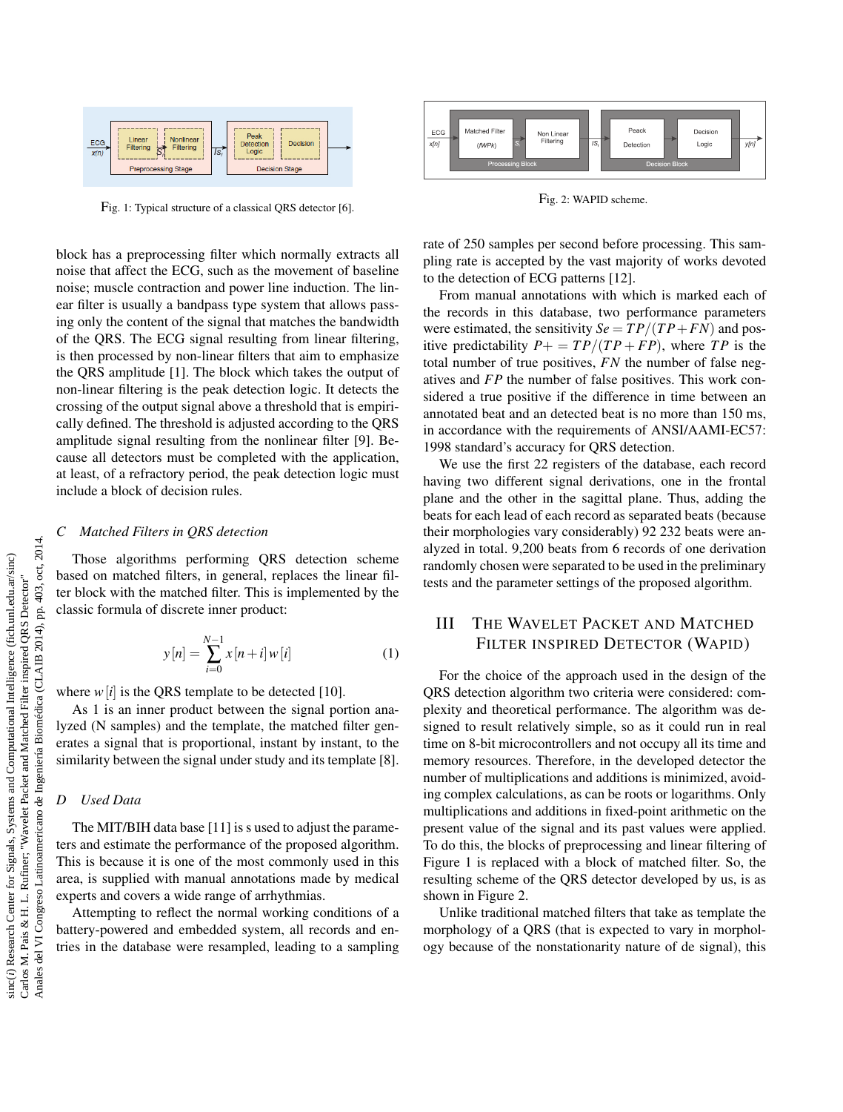

Fig. 1: Typical structure of a classical QRS detector [6].

block has a preprocessing filter which normally extracts all noise that affect the ECG, such as the movement of baseline noise; muscle contraction and power line induction. The linear filter is usually a bandpass type system that allows passing only the content of the signal that matches the bandwidth of the QRS. The ECG signal resulting from linear filtering, is then processed by non-linear filters that aim to emphasize the QRS amplitude [1]. The block which takes the output of non-linear filtering is the peak detection logic. It detects the crossing of the output signal above a threshold that is empirically defined. The threshold is adjusted according to the QRS amplitude signal resulting from the nonlinear filter [9]. Because all detectors must be completed with the application, at least, of a refractory period, the peak detection logic must include a block of decision rules.

#### *C Matched Filters in QRS detection*

Those algorithms performing QRS detection scheme based on matched filters, in general, replaces the linear filter block with the matched filter. This is implemented by the classic formula of discrete inner product:

$$
y[n] = \sum_{i=0}^{N-1} x[n+i] w[i]
$$
 (1)

where  $w[i]$  is the QRS template to be detected [10].

As 1 is an inner product between the signal portion analyzed (N samples) and the template, the matched filter generates a signal that is proportional, instant by instant, to the similarity between the signal under study and its template [8].

#### *D Used Data*

The MIT/BIH data base [11] is s used to adjust the parameters and estimate the performance of the proposed algorithm. This is because it is one of the most commonly used in this area, is supplied with manual annotations made by medical experts and covers a wide range of arrhythmias.

Attempting to reflect the normal working conditions of a battery-powered and embedded system, all records and entries in the database were resampled, leading to a sampling



Fig. 2: WAPID scheme.

rate of 250 samples per second before processing. This sampling rate is accepted by the vast majority of works devoted to the detection of ECG patterns [12].

From manual annotations with which is marked each of the records in this database, two performance parameters were estimated, the sensitivity  $Se = TP/(TP + FN)$  and positive predictability  $P_+ = TP/(TP + FP)$ , where *TP* is the total number of true positives, *FN* the number of false negatives and *FP* the number of false positives. This work considered a true positive if the difference in time between an annotated beat and an detected beat is no more than 150 ms, in accordance with the requirements of ANSI/AAMI-EC57: 1998 standard's accuracy for QRS detection.

We use the first 22 registers of the database, each record having two different signal derivations, one in the frontal plane and the other in the sagittal plane. Thus, adding the beats for each lead of each record as separated beats (because their morphologies vary considerably) 92 232 beats were analyzed in total. 9,200 beats from 6 records of one derivation randomly chosen were separated to be used in the preliminary tests and the parameter settings of the proposed algorithm.

# III THE WAVELET PACKET AND MATCHED FILTER INSPIRED DETECTOR (WAPID)

For the choice of the approach used in the design of the QRS detection algorithm two criteria were considered: complexity and theoretical performance. The algorithm was designed to result relatively simple, so as it could run in real time on 8-bit microcontrollers and not occupy all its time and memory resources. Therefore, in the developed detector the number of multiplications and additions is minimized, avoiding complex calculations, as can be roots or logarithms. Only multiplications and additions in fixed-point arithmetic on the present value of the signal and its past values were applied. To do this, the blocks of preprocessing and linear filtering of Figure 1 is replaced with a block of matched filter. So, the resulting scheme of the QRS detector developed by us, is as shown in Figure 2.

Unlike traditional matched filters that take as template the morphology of a QRS (that is expected to vary in morphology because of the nonstationarity nature of de signal), this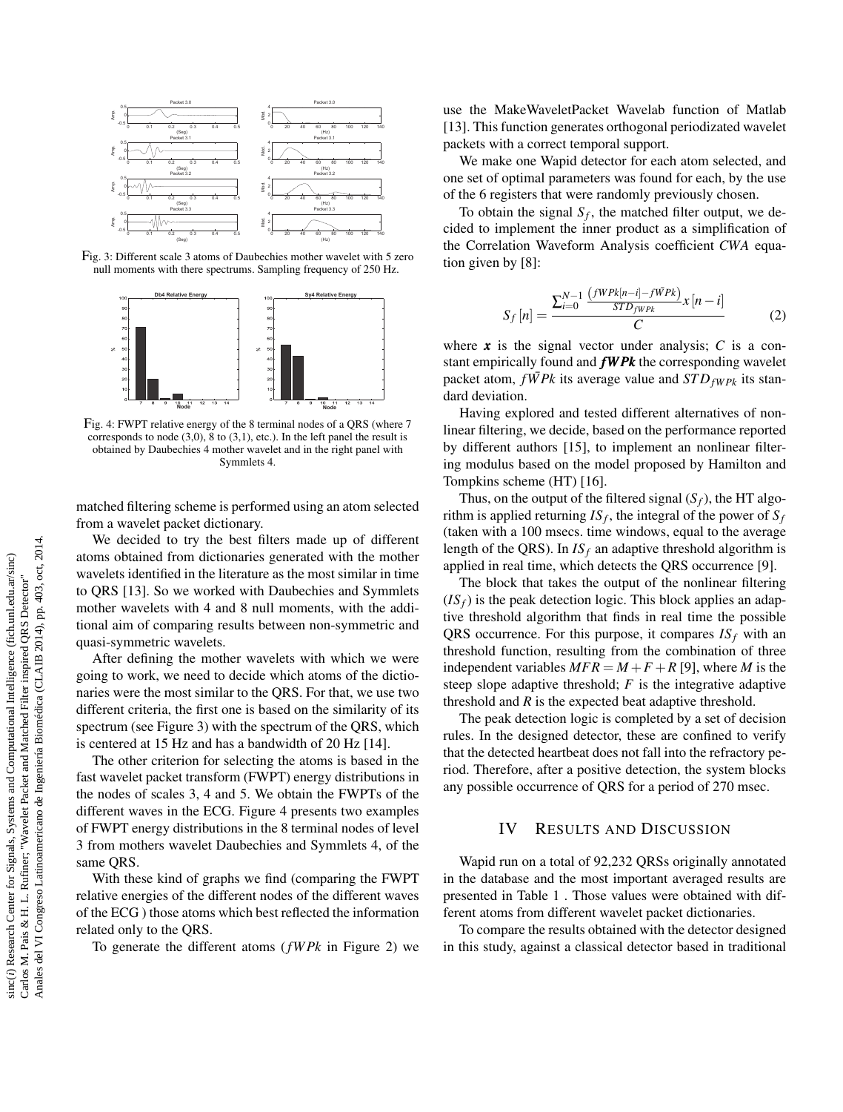

Fig. 3: Different scale 3 atoms of Daubechies mother wavelet with 5 zero null moments with there spectrums. Sampling frequency of 250 Hz.



Fig. 4: FWPT relative energy of the 8 terminal nodes of a QRS (where 7 corresponds to node  $(3,0)$ ,  $8$  to  $(3,1)$ , etc.). In the left panel the result is obtained by Daubechies 4 mother wavelet and in the right panel with Symmlets 4.

matched filtering scheme is performed using an atom selected from a wavelet packet dictionary.

We decided to try the best filters made up of different atoms obtained from dictionaries generated with the mother wavelets identified in the literature as the most similar in time to QRS [13]. So we worked with Daubechies and Symmlets mother wavelets with 4 and 8 null moments, with the additional aim of comparing results between non-symmetric and quasi-symmetric wavelets.

After defining the mother wavelets with which we were going to work, we need to decide which atoms of the dictionaries were the most similar to the QRS. For that, we use two different criteria, the first one is based on the similarity of its spectrum (see Figure 3) with the spectrum of the QRS, which is centered at 15 Hz and has a bandwidth of 20 Hz [14].

The other criterion for selecting the atoms is based in the fast wavelet packet transform (FWPT) energy distributions in the nodes of scales 3, 4 and 5. We obtain the FWPTs of the different waves in the ECG. Figure 4 presents two examples of FWPT energy distributions in the 8 terminal nodes of level 3 from mothers wavelet Daubechies and Symmlets 4, of the same QRS.

With these kind of graphs we find (comparing the FWPT relative energies of the different nodes of the different waves of the ECG ) those atoms which best reflected the information related only to the QRS.

To generate the different atoms (*fW Pk* in Figure 2) we

use the MakeWaveletPacket Wavelab function of Matlab [13]. This function generates orthogonal periodizated wavelet packets with a correct temporal support.

We make one Wapid detector for each atom selected, and one set of optimal parameters was found for each, by the use of the 6 registers that were randomly previously chosen.

To obtain the signal  $S_f$ , the matched filter output, we decided to implement the inner product as a simplification of the Correlation Waveform Analysis coefficient *CWA* equation given by [8]:

$$
S_f[n] = \frac{\sum_{i=0}^{N-1} \frac{\left(fW P k[n-i] - f\bar{W} P k\right)}{ST D_{fW P k}} x[n-i]}{C} \tag{2}
$$

where  $x$  is the signal vector under analysis;  $C$  is a constant empirically found and *fW Pk* the corresponding wavelet packet atom,  $f\overline{W}$  *Pk* its average value and  $STD_{fW}P_k$  its standard deviation.

Having explored and tested different alternatives of nonlinear filtering, we decide, based on the performance reported by different authors [15], to implement an nonlinear filtering modulus based on the model proposed by Hamilton and Tompkins scheme (HT) [16].

Thus, on the output of the filtered signal  $(S_f)$ , the HT algorithm is applied returning  $IS_f$ , the integral of the power of  $S_f$ (taken with a 100 msecs. time windows, equal to the average length of the QRS). In  $IS_f$  an adaptive threshold algorithm is applied in real time, which detects the QRS occurrence [9].

The block that takes the output of the nonlinear filtering  $(IS<sub>f</sub>)$  is the peak detection logic. This block applies an adaptive threshold algorithm that finds in real time the possible QRS occurrence. For this purpose, it compares *IS<sup>f</sup>* with an threshold function, resulting from the combination of three independent variables  $MFR = M + F + R$  [9], where *M* is the steep slope adaptive threshold; *F* is the integrative adaptive threshold and *R* is the expected beat adaptive threshold.

The peak detection logic is completed by a set of decision rules. In the designed detector, these are confined to verify that the detected heartbeat does not fall into the refractory period. Therefore, after a positive detection, the system blocks any possible occurrence of QRS for a period of 270 msec.

### IV RESULTS AND DISCUSSION

Wapid run on a total of 92,232 QRSs originally annotated in the database and the most important averaged results are presented in Table 1 . Those values were obtained with different atoms from different wavelet packet dictionaries.

To compare the results obtained with the detector designed in this study, against a classical detector based in traditional